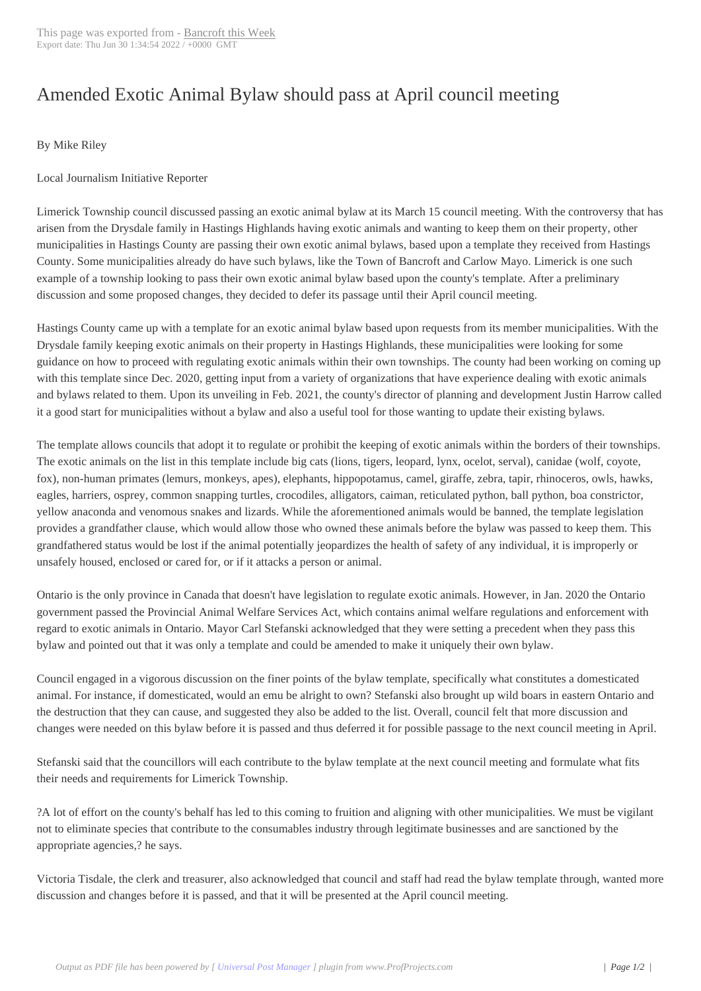## Amended Exotic A[nimal Bylaw](http://www.bancroftthisweek.com/?p=11427) should pass at April council meeting

## By Mike Riley

## Local Journalism Initiative Reporter

Limerick Township council discussed passing an exotic animal bylaw at its March 15 council meeting. With the controversy that has arisen from the Drysdale family in Hastings Highlands having exotic animals and wanting to keep them on their property, other municipalities in Hastings County are passing their own exotic animal bylaws, based upon a template they received from Hastings County. Some municipalities already do have such bylaws, like the Town of Bancroft and Carlow Mayo. Limerick is one such example of a township looking to pass their own exotic animal bylaw based upon the county's template. After a preliminary discussion and some proposed changes, they decided to defer its passage until their April council meeting.

Hastings County came up with a template for an exotic animal bylaw based upon requests from its member municipalities. With the Drysdale family keeping exotic animals on their property in Hastings Highlands, these municipalities were looking for some guidance on how to proceed with regulating exotic animals within their own townships. The county had been working on coming up with this template since Dec. 2020, getting input from a variety of organizations that have experience dealing with exotic animals and bylaws related to them. Upon its unveiling in Feb. 2021, the county's director of planning and development Justin Harrow called it a good start for municipalities without a bylaw and also a useful tool for those wanting to update their existing bylaws.

The template allows councils that adopt it to regulate or prohibit the keeping of exotic animals within the borders of their townships. The exotic animals on the list in this template include big cats (lions, tigers, leopard, lynx, ocelot, serval), canidae (wolf, coyote, fox), non-human primates (lemurs, monkeys, apes), elephants, hippopotamus, camel, giraffe, zebra, tapir, rhinoceros, owls, hawks, eagles, harriers, osprey, common snapping turtles, crocodiles, alligators, caiman, reticulated python, ball python, boa constrictor, yellow anaconda and venomous snakes and lizards. While the aforementioned animals would be banned, the template legislation provides a grandfather clause, which would allow those who owned these animals before the bylaw was passed to keep them. This grandfathered status would be lost if the animal potentially jeopardizes the health of safety of any individual, it is improperly or unsafely housed, enclosed or cared for, or if it attacks a person or animal.

Ontario is the only province in Canada that doesn't have legislation to regulate exotic animals. However, in Jan. 2020 the Ontario government passed the Provincial Animal Welfare Services Act, which contains animal welfare regulations and enforcement with regard to exotic animals in Ontario. Mayor Carl Stefanski acknowledged that they were setting a precedent when they pass this bylaw and pointed out that it was only a template and could be amended to make it uniquely their own bylaw.

Council engaged in a vigorous discussion on the finer points of the bylaw template, specifically what constitutes a domesticated animal. For instance, if domesticated, would an emu be alright to own? Stefanski also brought up wild boars in eastern Ontario and the destruction that they can cause, and suggested they also be added to the list. Overall, council felt that more discussion and changes were needed on this bylaw before it is passed and thus deferred it for possible passage to the next council meeting in April.

Stefanski said that the councillors will each contribute to the bylaw template at the next council meeting and formulate what fits their needs and requirements for Limerick Township.

?A lot of effort on the county's behalf has led to this coming to fruition and aligning with other municipalities. We must be vigilant not to eliminate species that contribute to the consumables industry through legitimate businesses and are sanctioned by the appropriate agencies,? he says.

Victoria Tisdale, the clerk and treasurer, also acknowledged that council and staff had read the bylaw template through, wanted more discussion and changes before it is passed, and that it will be presented at the April council meeting.